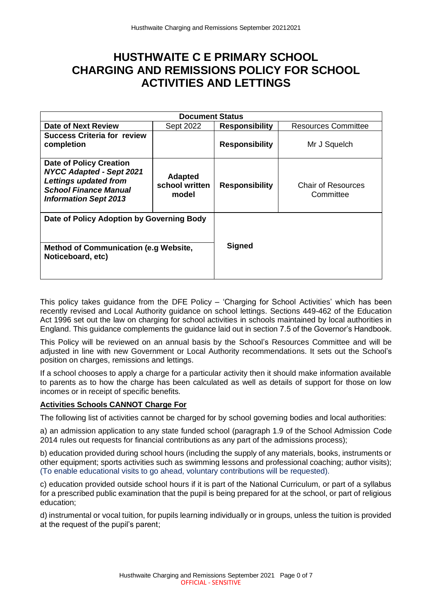# **HUSTHWAITE C E PRIMARY SCHOOL CHARGING AND REMISSIONS POLICY FOR SCHOOL ACTIVITIES AND LETTINGS**

| <b>Document Status</b>                                                                                                                                            |                                           |                       |                                        |
|-------------------------------------------------------------------------------------------------------------------------------------------------------------------|-------------------------------------------|-----------------------|----------------------------------------|
| Date of Next Review                                                                                                                                               | Sept 2022                                 | <b>Responsibility</b> | <b>Resources Committee</b>             |
| <b>Success Criteria for review</b><br>completion                                                                                                                  |                                           | <b>Responsibility</b> | Mr J Squelch                           |
| <b>Date of Policy Creation</b><br><b>NYCC Adapted - Sept 2021</b><br><b>Lettings updated from</b><br><b>School Finance Manual</b><br><b>Information Sept 2013</b> | <b>Adapted</b><br>school written<br>model | <b>Responsibility</b> | <b>Chair of Resources</b><br>Committee |
| Date of Policy Adoption by Governing Body<br><b>Method of Communication (e.g Website,</b><br>Noticeboard, etc)                                                    |                                           | <b>Signed</b>         |                                        |

This policy takes guidance from the DFE Policy – 'Charging for School Activities' which has been recently revised and Local Authority guidance on school lettings. Sections 449-462 of the Education Act 1996 set out the law on charging for school activities in schools maintained by local authorities in England. This guidance complements the guidance laid out in section 7.5 of the Governor's Handbook.

This Policy will be reviewed on an annual basis by the School's Resources Committee and will be adjusted in line with new Government or Local Authority recommendations. It sets out the School's position on charges, remissions and lettings.

If a school chooses to apply a charge for a particular activity then it should make information available to parents as to how the charge has been calculated as well as details of support for those on low incomes or in receipt of specific benefits.

# **Activities Schools CANNOT Charge For**

The following list of activities cannot be charged for by school governing bodies and local authorities:

a) an admission application to any state funded school (paragraph 1.9 of the School Admission Code 2014 rules out requests for financial contributions as any part of the admissions process);

b) education provided during school hours (including the supply of any materials, books, instruments or other equipment; sports activities such as swimming lessons and professional coaching; author visits); (To enable educational visits to go ahead, voluntary contributions will be requested).

c) education provided outside school hours if it is part of the National Curriculum, or part of a syllabus for a prescribed public examination that the pupil is being prepared for at the school, or part of religious education;

d) instrumental or vocal tuition, for pupils learning individually or in groups, unless the tuition is provided at the request of the pupil's parent;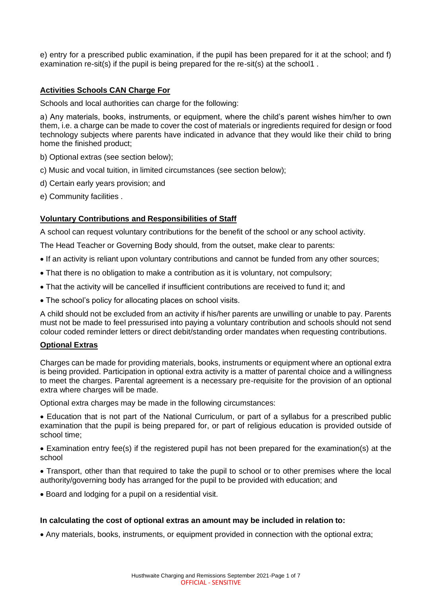e) entry for a prescribed public examination, if the pupil has been prepared for it at the school; and f) examination re-sit(s) if the pupil is being prepared for the re-sit(s) at the school1 .

# **Activities Schools CAN Charge For**

Schools and local authorities can charge for the following:

a) Any materials, books, instruments, or equipment, where the child's parent wishes him/her to own them, i.e. a charge can be made to cover the cost of materials or ingredients required for design or food technology subjects where parents have indicated in advance that they would like their child to bring home the finished product;

- b) Optional extras (see section below);
- c) Music and vocal tuition, in limited circumstances (see section below);
- d) Certain early years provision; and
- e) Community facilities .

# **Voluntary Contributions and Responsibilities of Staff**

A school can request voluntary contributions for the benefit of the school or any school activity.

The Head Teacher or Governing Body should, from the outset, make clear to parents:

- If an activity is reliant upon voluntary contributions and cannot be funded from any other sources;
- That there is no obligation to make a contribution as it is voluntary, not compulsory;
- That the activity will be cancelled if insufficient contributions are received to fund it; and
- The school's policy for allocating places on school visits.

A child should not be excluded from an activity if his/her parents are unwilling or unable to pay. Parents must not be made to feel pressurised into paying a voluntary contribution and schools should not send colour coded reminder letters or direct debit/standing order mandates when requesting contributions.

### **Optional Extras**

Charges can be made for providing materials, books, instruments or equipment where an optional extra is being provided. Participation in optional extra activity is a matter of parental choice and a willingness to meet the charges. Parental agreement is a necessary pre-requisite for the provision of an optional extra where charges will be made.

Optional extra charges may be made in the following circumstances:

• Education that is not part of the National Curriculum, or part of a syllabus for a prescribed public examination that the pupil is being prepared for, or part of religious education is provided outside of school time;

• Examination entry fee(s) if the registered pupil has not been prepared for the examination(s) at the school

• Transport, other than that required to take the pupil to school or to other premises where the local authority/governing body has arranged for the pupil to be provided with education; and

• Board and lodging for a pupil on a residential visit.

# **In calculating the cost of optional extras an amount may be included in relation to:**

• Any materials, books, instruments, or equipment provided in connection with the optional extra;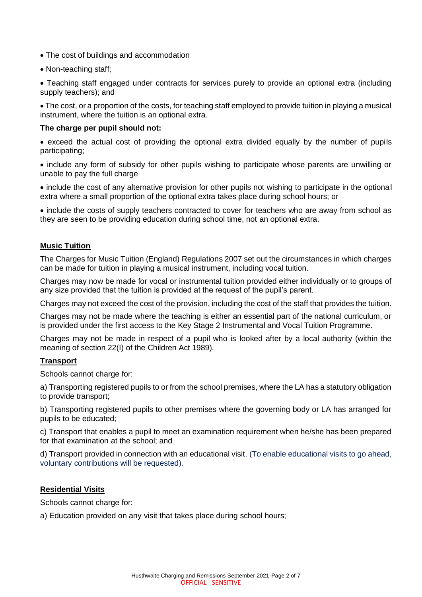- The cost of buildings and accommodation
- Non-teaching staff;

• Teaching staff engaged under contracts for services purely to provide an optional extra (including supply teachers); and

• The cost, or a proportion of the costs, for teaching staff employed to provide tuition in playing a musical instrument, where the tuition is an optional extra.

### **The charge per pupil should not:**

• exceed the actual cost of providing the optional extra divided equally by the number of pupils participating;

• include any form of subsidy for other pupils wishing to participate whose parents are unwilling or unable to pay the full charge

• include the cost of any alternative provision for other pupils not wishing to participate in the optional extra where a small proportion of the optional extra takes place during school hours; or

• include the costs of supply teachers contracted to cover for teachers who are away from school as they are seen to be providing education during school time, not an optional extra.

### **Music Tuition**

The Charges for Music Tuition (England) Regulations 2007 set out the circumstances in which charges can be made for tuition in playing a musical instrument, including vocal tuition.

Charges may now be made for vocal or instrumental tuition provided either individually or to groups of any size provided that the tuition is provided at the request of the pupil's parent.

Charges may not exceed the cost of the provision, including the cost of the staff that provides the tuition.

Charges may not be made where the teaching is either an essential part of the national curriculum, or is provided under the first access to the Key Stage 2 Instrumental and Vocal Tuition Programme.

Charges may not be made in respect of a pupil who is looked after by a local authority (within the meaning of section 22(I) of the Children Act 1989).

### **Transport**

Schools cannot charge for:

a) Transporting registered pupils to or from the school premises, where the LA has a statutory obligation to provide transport;

b) Transporting registered pupils to other premises where the governing body or LA has arranged for pupils to be educated;

c) Transport that enables a pupil to meet an examination requirement when he/she has been prepared for that examination at the school; and

d) Transport provided in connection with an educational visit. (To enable educational visits to go ahead, voluntary contributions will be requested).

### **Residential Visits**

Schools cannot charge for:

a) Education provided on any visit that takes place during school hours;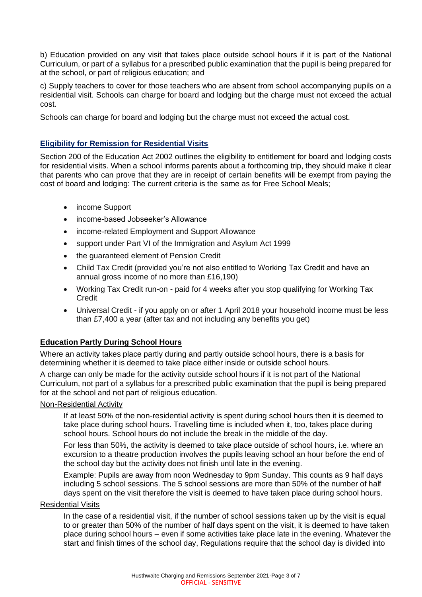b) Education provided on any visit that takes place outside school hours if it is part of the National Curriculum, or part of a syllabus for a prescribed public examination that the pupil is being prepared for at the school, or part of religious education; and

c) Supply teachers to cover for those teachers who are absent from school accompanying pupils on a residential visit. Schools can charge for board and lodging but the charge must not exceed the actual cost.

Schools can charge for board and lodging but the charge must not exceed the actual cost.

# **Eligibility for Remission for Residential Visits**

Section 200 of the Education Act 2002 outlines the eligibility to entitlement for board and lodging costs for residential visits. When a school informs parents about a forthcoming trip, they should make it clear that parents who can prove that they are in receipt of certain benefits will be exempt from paying the cost of board and lodging: The current criteria is the same as for Free School Meals;

- income Support
- income-based Jobseeker's Allowance
- income-related Employment and Support Allowance
- support under Part VI of the Immigration and Asylum Act 1999
- the guaranteed element of Pension Credit
- Child Tax Credit (provided you're not also entitled to Working Tax Credit and have an annual gross income of no more than £16,190)
- Working Tax Credit run-on paid for 4 weeks after you stop qualifying for Working Tax **Credit**
- Universal Credit if you apply on or after 1 April 2018 your household income must be less than £7,400 a year (after tax and not including any benefits you get)

# **Education Partly During School Hours**

Where an activity takes place partly during and partly outside school hours, there is a basis for determining whether it is deemed to take place either inside or outside school hours.

A charge can only be made for the activity outside school hours if it is not part of the National Curriculum, not part of a syllabus for a prescribed public examination that the pupil is being prepared for at the school and not part of religious education.

### Non-Residential Activity

If at least 50% of the non-residential activity is spent during school hours then it is deemed to take place during school hours. Travelling time is included when it, too, takes place during school hours. School hours do not include the break in the middle of the day.

For less than 50%, the activity is deemed to take place outside of school hours, i.e. where an excursion to a theatre production involves the pupils leaving school an hour before the end of the school day but the activity does not finish until late in the evening.

Example: Pupils are away from noon Wednesday to 9pm Sunday. This counts as 9 half days including 5 school sessions. The 5 school sessions are more than 50% of the number of half days spent on the visit therefore the visit is deemed to have taken place during school hours.

### Residential Visits

In the case of a residential visit, if the number of school sessions taken up by the visit is equal to or greater than 50% of the number of half days spent on the visit, it is deemed to have taken place during school hours – even if some activities take place late in the evening. Whatever the start and finish times of the school day, Regulations require that the school day is divided into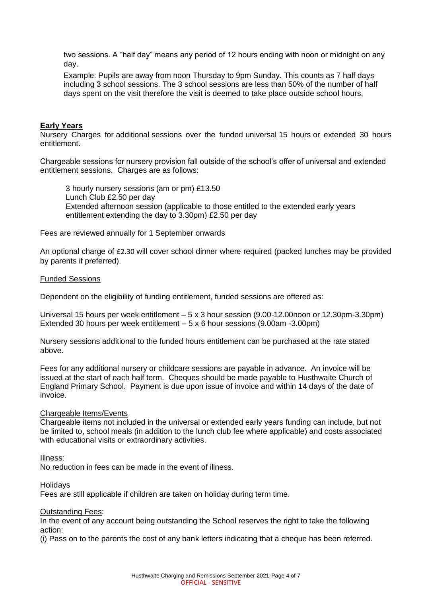two sessions. A "half day" means any period of 12 hours ending with noon or midnight on any day.

Example: Pupils are away from noon Thursday to 9pm Sunday. This counts as 7 half days including 3 school sessions. The 3 school sessions are less than 50% of the number of half days spent on the visit therefore the visit is deemed to take place outside school hours.

### **Early Years**

Nursery Charges for additional sessions over the funded universal 15 hours or extended 30 hours entitlement.

Chargeable sessions for nursery provision fall outside of the school's offer of universal and extended entitlement sessions. Charges are as follows:

3 hourly nursery sessions (am or pm) £13.50 Lunch Club £2.50 per day Extended afternoon session (applicable to those entitled to the extended early years entitlement extending the day to 3.30pm) £2.50 per day

Fees are reviewed annually for 1 September onwards

An optional charge of £2.30 will cover school dinner where required (packed lunches may be provided by parents if preferred).

### Funded Sessions

Dependent on the eligibility of funding entitlement, funded sessions are offered as:

Universal 15 hours per week entitlement – 5 x 3 hour session (9.00-12.00noon or 12.30pm-3.30pm) Extended 30 hours per week entitlement – 5 x 6 hour sessions (9.00am -3.00pm)

Nursery sessions additional to the funded hours entitlement can be purchased at the rate stated above.

Fees for any additional nursery or childcare sessions are payable in advance. An invoice will be issued at the start of each half term. Cheques should be made payable to Husthwaite Church of England Primary School. Payment is due upon issue of invoice and within 14 days of the date of invoice.

### Chargeable Items/Events

Chargeable items not included in the universal or extended early years funding can include, but not be limited to, school meals (in addition to the lunch club fee where applicable) and costs associated with educational visits or extraordinary activities.

#### Illness:

No reduction in fees can be made in the event of illness.

### **Holidavs**

Fees are still applicable if children are taken on holiday during term time.

### Outstanding Fees:

In the event of any account being outstanding the School reserves the right to take the following action:

(i) Pass on to the parents the cost of any bank letters indicating that a cheque has been referred.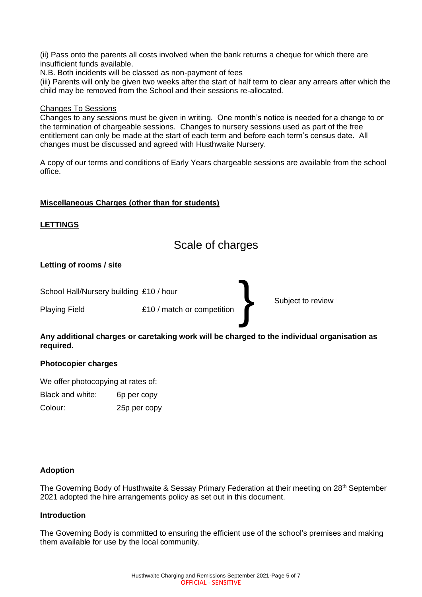(ii) Pass onto the parents all costs involved when the bank returns a cheque for which there are insufficient funds available.

N.B. Both incidents will be classed as non-payment of fees

(iii) Parents will only be given two weeks after the start of half term to clear any arrears after which the child may be removed from the School and their sessions re-allocated.

### Changes To Sessions

Changes to any sessions must be given in writing. One month's notice is needed for a change to or the termination of chargeable sessions. Changes to nursery sessions used as part of the free entitlement can only be made at the start of each term and before each term's census date. All changes must be discussed and agreed with Husthwaite Nursery.

A copy of our terms and conditions of Early Years chargeable sessions are available from the school office.

# **Miscellaneous Charges (other than for students)**

# **LETTINGS**

Scale of charges

}

# **Letting of rooms / site**

School Hall/Nursery building £10 / hour

Playing Field **E10** / match or competition

Subject to review

# **Any additional charges or caretaking work will be charged to the individual organisation as required.**

# **Photocopier charges**

We offer photocopying at rates of: Black and white: 6p per copy Colour: 25p per copy

# **Adoption**

The Governing Body of Husthwaite & Sessay Primary Federation at their meeting on 28<sup>th</sup> September 2021 adopted the hire arrangements policy as set out in this document.

# **Introduction**

The Governing Body is committed to ensuring the efficient use of the school's premises and making them available for use by the local community.